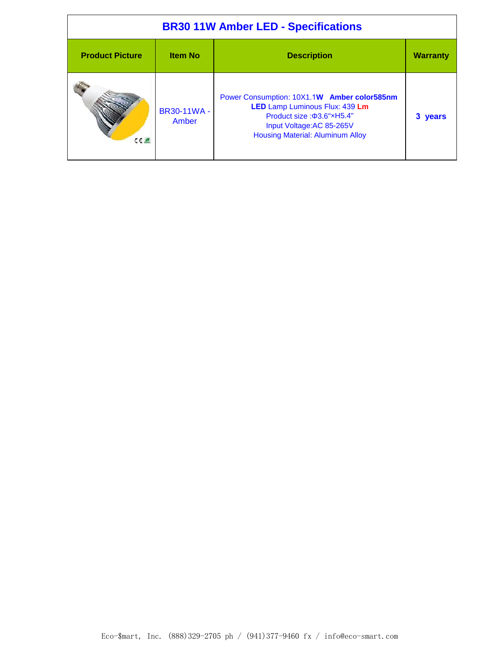| <b>BR30 11W Amber LED - Specifications</b> |                             |                                                                                                                                                                                   |                 |
|--------------------------------------------|-----------------------------|-----------------------------------------------------------------------------------------------------------------------------------------------------------------------------------|-----------------|
| <b>Product Picture</b>                     | <b>Item No</b>              | <b>Description</b>                                                                                                                                                                | <b>Warranty</b> |
| $C \in \mathcal{A}$                        | <b>BR30-11WA -</b><br>Amber | Power Consumption: 10X1.1W Amber color585nm<br>LED Lamp Luminous Flux: 439 Lm<br>Product size: 3.6"xH5.4"<br>Input Voltage: AC 85-265V<br><b>Housing Material: Aluminum Alloy</b> | 3 years         |